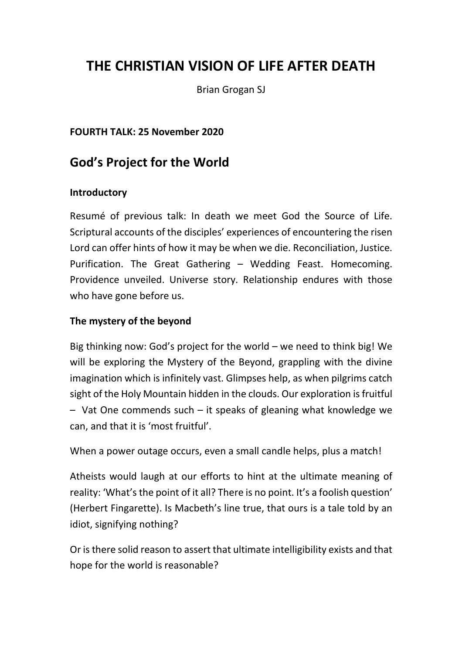# THE CHRISTIAN VISION OF LIFE AFTER DEATH

Brian Grogan SJ

#### FOURTH TALK: 25 November 2020

# God's Project for the World

#### Introductory

Resumé of previous talk: In death we meet God the Source of Life. Scriptural accounts of the disciples' experiences of encountering the risen Lord can offer hints of how it may be when we die. Reconciliation, Justice. Purification. The Great Gathering – Wedding Feast. Homecoming. Providence unveiled. Universe story. Relationship endures with those who have gone before us.

#### The mystery of the beyond

Big thinking now: God's project for the world – we need to think big! We will be exploring the Mystery of the Beyond, grappling with the divine imagination which is infinitely vast. Glimpses help, as when pilgrims catch sight of the Holy Mountain hidden in the clouds. Our exploration is fruitful – Vat One commends such – it speaks of gleaning what knowledge we can, and that it is 'most fruitful'.

When a power outage occurs, even a small candle helps, plus a match!

Atheists would laugh at our efforts to hint at the ultimate meaning of reality: 'What's the point of it all? There is no point. It's a foolish question' (Herbert Fingarette). Is Macbeth's line true, that ours is a tale told by an idiot, signifying nothing?

Or is there solid reason to assert that ultimate intelligibility exists and that hope for the world is reasonable?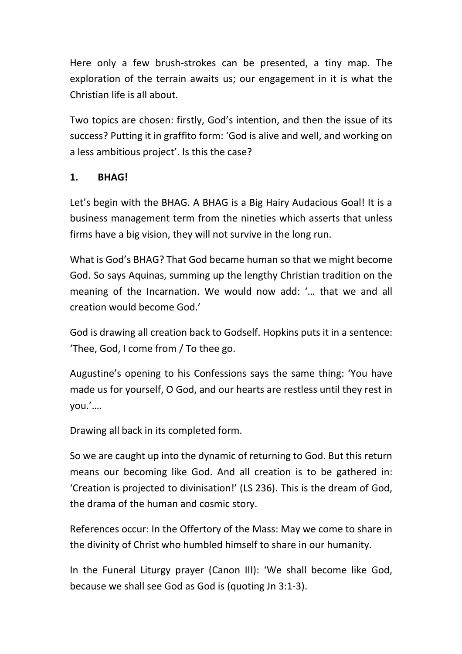Here only a few brush-strokes can be presented, a tiny map. The exploration of the terrain awaits us; our engagement in it is what the Christian life is all about.

Two topics are chosen: firstly, God's intention, and then the issue of its success? Putting it in graffito form: 'God is alive and well, and working on a less ambitious project'. Is this the case?

## 1. BHAG!

Let's begin with the BHAG. A BHAG is a Big Hairy Audacious Goal! It is a business management term from the nineties which asserts that unless firms have a big vision, they will not survive in the long run.

What is God's BHAG? That God became human so that we might become God. So says Aquinas, summing up the lengthy Christian tradition on the meaning of the Incarnation. We would now add: '… that we and all creation would become God.'

God is drawing all creation back to Godself. Hopkins puts it in a sentence: 'Thee, God, I come from / To thee go.

Augustine's opening to his Confessions says the same thing: 'You have made us for yourself, O God, and our hearts are restless until they rest in you.'….

Drawing all back in its completed form.

So we are caught up into the dynamic of returning to God. But this return means our becoming like God. And all creation is to be gathered in: 'Creation is projected to divinisation!' (LS 236). This is the dream of God, the drama of the human and cosmic story.

References occur: In the Offertory of the Mass: May we come to share in the divinity of Christ who humbled himself to share in our humanity.

In the Funeral Liturgy prayer (Canon III): 'We shall become like God, because we shall see God as God is (quoting Jn 3:1-3).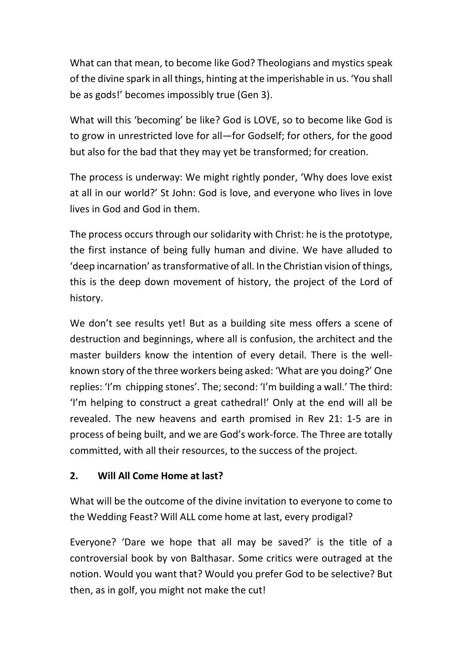What can that mean, to become like God? Theologians and mystics speak of the divine spark in all things, hinting at the imperishable in us. 'You shall be as gods!' becomes impossibly true (Gen 3).

What will this 'becoming' be like? God is LOVE, so to become like God is to grow in unrestricted love for all—for Godself; for others, for the good but also for the bad that they may yet be transformed; for creation.

The process is underway: We might rightly ponder, 'Why does love exist at all in our world?' St John: God is love, and everyone who lives in love lives in God and God in them.

The process occurs through our solidarity with Christ: he is the prototype, the first instance of being fully human and divine. We have alluded to 'deep incarnation' as transformative of all. In the Christian vision of things, this is the deep down movement of history, the project of the Lord of history.

We don't see results yet! But as a building site mess offers a scene of destruction and beginnings, where all is confusion, the architect and the master builders know the intention of every detail. There is the wellknown story of the three workers being asked: 'What are you doing?' One replies: 'I'm chipping stones'. The; second: 'I'm building a wall.' The third: 'I'm helping to construct a great cathedral!' Only at the end will all be revealed. The new heavens and earth promised in Rev 21: 1-5 are in process of being built, and we are God's work-force. The Three are totally committed, with all their resources, to the success of the project.

## 2. Will All Come Home at last?

What will be the outcome of the divine invitation to everyone to come to the Wedding Feast? Will ALL come home at last, every prodigal?

Everyone? 'Dare we hope that all may be saved?' is the title of a controversial book by von Balthasar. Some critics were outraged at the notion. Would you want that? Would you prefer God to be selective? But then, as in golf, you might not make the cut!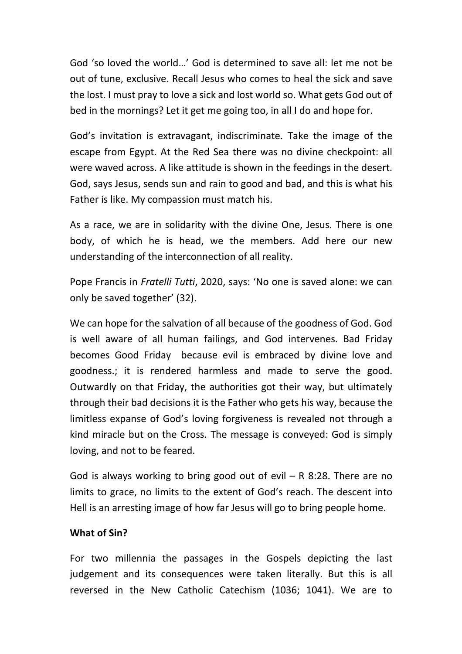God 'so loved the world…' God is determined to save all: let me not be out of tune, exclusive. Recall Jesus who comes to heal the sick and save the lost. I must pray to love a sick and lost world so. What gets God out of bed in the mornings? Let it get me going too, in all I do and hope for.

God's invitation is extravagant, indiscriminate. Take the image of the escape from Egypt. At the Red Sea there was no divine checkpoint: all were waved across. A like attitude is shown in the feedings in the desert. God, says Jesus, sends sun and rain to good and bad, and this is what his Father is like. My compassion must match his.

As a race, we are in solidarity with the divine One, Jesus. There is one body, of which he is head, we the members. Add here our new understanding of the interconnection of all reality.

Pope Francis in Fratelli Tutti, 2020, says: 'No one is saved alone: we can only be saved together' (32).

We can hope for the salvation of all because of the goodness of God. God is well aware of all human failings, and God intervenes. Bad Friday becomes Good Friday because evil is embraced by divine love and goodness.; it is rendered harmless and made to serve the good. Outwardly on that Friday, the authorities got their way, but ultimately through their bad decisions it is the Father who gets his way, because the limitless expanse of God's loving forgiveness is revealed not through a kind miracle but on the Cross. The message is conveyed: God is simply loving, and not to be feared.

God is always working to bring good out of evil  $-$  R 8:28. There are no limits to grace, no limits to the extent of God's reach. The descent into Hell is an arresting image of how far Jesus will go to bring people home.

#### What of Sin?

For two millennia the passages in the Gospels depicting the last judgement and its consequences were taken literally. But this is all reversed in the New Catholic Catechism (1036; 1041). We are to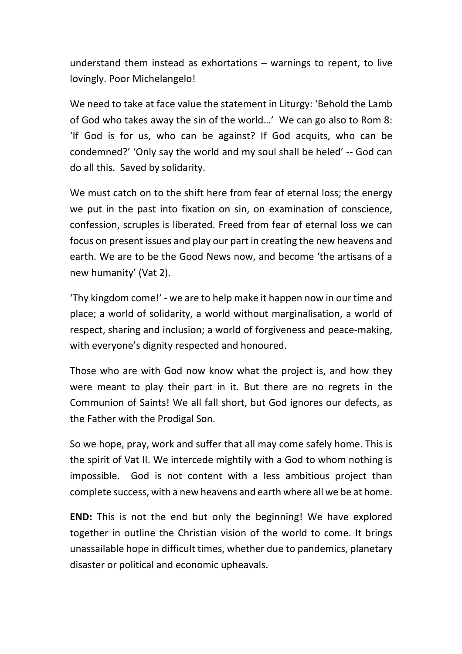understand them instead as exhortations – warnings to repent, to live lovingly. Poor Michelangelo!

We need to take at face value the statement in Liturgy: 'Behold the Lamb of God who takes away the sin of the world…' We can go also to Rom 8: 'If God is for us, who can be against? If God acquits, who can be condemned?' 'Only say the world and my soul shall be heled' -- God can do all this. Saved by solidarity.

We must catch on to the shift here from fear of eternal loss; the energy we put in the past into fixation on sin, on examination of conscience, confession, scruples is liberated. Freed from fear of eternal loss we can focus on present issues and play our part in creating the new heavens and earth. We are to be the Good News now, and become 'the artisans of a new humanity' (Vat 2).

'Thy kingdom come!' - we are to help make it happen now in our time and place; a world of solidarity, a world without marginalisation, a world of respect, sharing and inclusion; a world of forgiveness and peace-making, with everyone's dignity respected and honoured.

Those who are with God now know what the project is, and how they were meant to play their part in it. But there are no regrets in the Communion of Saints! We all fall short, but God ignores our defects, as the Father with the Prodigal Son.

So we hope, pray, work and suffer that all may come safely home. This is the spirit of Vat II. We intercede mightily with a God to whom nothing is impossible. God is not content with a less ambitious project than complete success, with a new heavens and earth where all we be at home.

END: This is not the end but only the beginning! We have explored together in outline the Christian vision of the world to come. It brings unassailable hope in difficult times, whether due to pandemics, planetary disaster or political and economic upheavals.